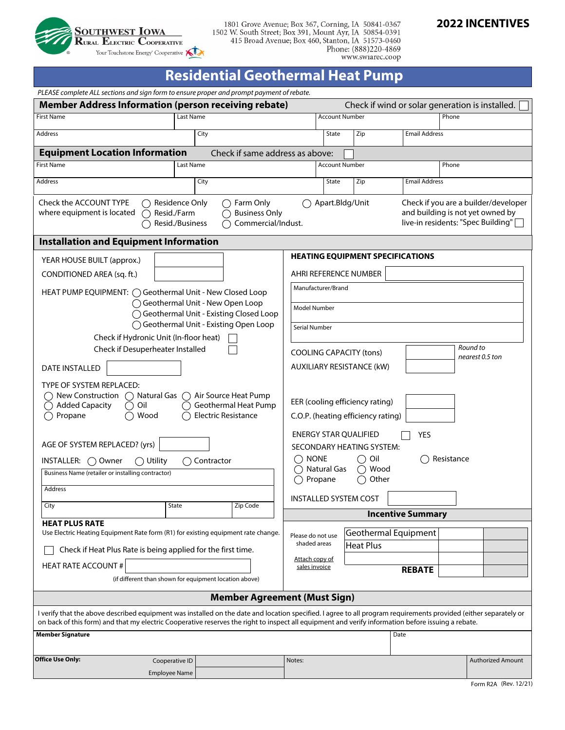

1801 Grove Avenue; Box 367, Corning, IA 50841-0367<br>1502 W. South Street; Box 391, Mount Ayr, IA 50854-0391<br>415 Broad Avenue; Box 460, Stanton, IA 51573-0460 Phone: (888)220-4869<br>www.swiarec.coop

# **2022 INCENTIVES**

# **Residential Geothermal Heat Pump**

| PLEASE complete ALL sections and sign form to ensure proper and prompt payment of rebate.                                                                                                                                                                                                                              |                                                                                                                                                                                 |                  |                                              |                                                                                     |                                          |                                                 |                          |       |                          |  |
|------------------------------------------------------------------------------------------------------------------------------------------------------------------------------------------------------------------------------------------------------------------------------------------------------------------------|---------------------------------------------------------------------------------------------------------------------------------------------------------------------------------|------------------|----------------------------------------------|-------------------------------------------------------------------------------------|------------------------------------------|-------------------------------------------------|--------------------------|-------|--------------------------|--|
| <b>Member Address Information (person receiving rebate)</b>                                                                                                                                                                                                                                                            |                                                                                                                                                                                 |                  |                                              |                                                                                     |                                          | Check if wind or solar generation is installed. |                          |       |                          |  |
| <b>First Name</b>                                                                                                                                                                                                                                                                                                      |                                                                                                                                                                                 | <b>Last Name</b> |                                              |                                                                                     | <b>Account Number</b>                    |                                                 |                          | Phone |                          |  |
| Address                                                                                                                                                                                                                                                                                                                |                                                                                                                                                                                 | City             |                                              |                                                                                     | State                                    | Zip                                             | <b>Email Address</b>     |       |                          |  |
| <b>Equipment Location Information</b>                                                                                                                                                                                                                                                                                  |                                                                                                                                                                                 |                  | Check if same address as above:              |                                                                                     |                                          |                                                 |                          |       |                          |  |
| <b>First Name</b>                                                                                                                                                                                                                                                                                                      |                                                                                                                                                                                 | Last Name        |                                              |                                                                                     |                                          | <b>Account Number</b>                           |                          | Phone |                          |  |
| Address                                                                                                                                                                                                                                                                                                                |                                                                                                                                                                                 | City             |                                              |                                                                                     | State<br>Zip<br><b>Email Address</b>     |                                                 |                          |       |                          |  |
|                                                                                                                                                                                                                                                                                                                        |                                                                                                                                                                                 |                  | ◯ Farm Only                                  |                                                                                     |                                          |                                                 |                          |       |                          |  |
| Check the ACCOUNT TYPE<br>Residence Only<br>where equipment is located<br>◯ Resid./Farm<br>Resid./Business                                                                                                                                                                                                             | Apart.Bldg/Unit<br>Check if you are a builder/developer<br>and building is not yet owned by<br><b>Business Only</b><br>live-in residents: "Spec Building"<br>Commercial/Indust. |                  |                                              |                                                                                     |                                          |                                                 |                          |       |                          |  |
| <b>Installation and Equipment Information</b>                                                                                                                                                                                                                                                                          |                                                                                                                                                                                 |                  |                                              |                                                                                     |                                          |                                                 |                          |       |                          |  |
| YEAR HOUSE BUILT (approx.)                                                                                                                                                                                                                                                                                             |                                                                                                                                                                                 |                  |                                              | <b>HEATING EQUIPMENT SPECIFICATIONS</b>                                             |                                          |                                                 |                          |       |                          |  |
| CONDITIONED AREA (sq. ft.)                                                                                                                                                                                                                                                                                             |                                                                                                                                                                                 |                  |                                              | AHRI REFERENCE NUMBER                                                               |                                          |                                                 |                          |       |                          |  |
| HEAT PUMP EQUIPMENT: ◯ Geothermal Unit - New Closed Loop                                                                                                                                                                                                                                                               |                                                                                                                                                                                 |                  |                                              | Manufacturer/Brand                                                                  |                                          |                                                 |                          |       |                          |  |
| ◯ Geothermal Unit - New Open Loop                                                                                                                                                                                                                                                                                      |                                                                                                                                                                                 |                  | Model Number                                 |                                                                                     |                                          |                                                 |                          |       |                          |  |
| ◯ Geothermal Unit - Existing Closed Loop<br>◯ Geothermal Unit - Existing Open Loop                                                                                                                                                                                                                                     |                                                                                                                                                                                 |                  |                                              |                                                                                     |                                          |                                                 |                          |       |                          |  |
| Check if Hydronic Unit (In-floor heat)                                                                                                                                                                                                                                                                                 |                                                                                                                                                                                 |                  |                                              | Serial Number                                                                       |                                          |                                                 |                          |       |                          |  |
| Check if Desuperheater Installed                                                                                                                                                                                                                                                                                       |                                                                                                                                                                                 |                  | Round to<br><b>COOLING CAPACITY (tons)</b>   |                                                                                     |                                          |                                                 |                          |       |                          |  |
| <b>DATE INSTALLED</b>                                                                                                                                                                                                                                                                                                  |                                                                                                                                                                                 |                  | nearest 0.5 ton<br>AUXILIARY RESISTANCE (kW) |                                                                                     |                                          |                                                 |                          |       |                          |  |
| TYPE OF SYSTEM REPLACED:                                                                                                                                                                                                                                                                                               |                                                                                                                                                                                 |                  |                                              |                                                                                     |                                          |                                                 |                          |       |                          |  |
| New Construction<br>Natural Gas $\bigcap$ Air Source Heat Pump<br>( )<br>Geothermal Heat Pump<br><b>Added Capacity</b><br>Oil<br><b>Electric Resistance</b><br>Propane<br>Wood<br>$($ )                                                                                                                                |                                                                                                                                                                                 |                  |                                              | EER (cooling efficiency rating)<br>C.O.P. (heating efficiency rating)               |                                          |                                                 |                          |       |                          |  |
|                                                                                                                                                                                                                                                                                                                        |                                                                                                                                                                                 |                  |                                              |                                                                                     |                                          | <b>ENERGY STAR QUALIFIED</b>                    | <b>YES</b>               |       |                          |  |
| AGE OF SYSTEM REPLACED? (yrs)                                                                                                                                                                                                                                                                                          |                                                                                                                                                                                 |                  |                                              | SECONDARY HEATING SYSTEM:                                                           |                                          |                                                 |                          |       |                          |  |
| $\bigcap$ Contractor<br>$INSTALLER: \bigcap$ Owner<br>$\bigcirc$ Utility                                                                                                                                                                                                                                               |                                                                                                                                                                                 |                  |                                              | <b>NONE</b><br>$\bigcap$ Oil<br>Resistance<br><b>Natural Gas</b><br>$\bigcirc$ Wood |                                          |                                                 |                          |       |                          |  |
| Business Name (retailer or installing contractor)                                                                                                                                                                                                                                                                      |                                                                                                                                                                                 |                  |                                              | Propane<br>Other<br>∩<br>( )                                                        |                                          |                                                 |                          |       |                          |  |
| Address                                                                                                                                                                                                                                                                                                                |                                                                                                                                                                                 |                  |                                              |                                                                                     |                                          | INSTALLED SYSTEM COST                           |                          |       |                          |  |
| City                                                                                                                                                                                                                                                                                                                   | State                                                                                                                                                                           |                  | Zip Code                                     |                                                                                     |                                          |                                                 | <b>Incentive Summary</b> |       |                          |  |
| <b>HEAT PLUS RATE</b>                                                                                                                                                                                                                                                                                                  |                                                                                                                                                                                 |                  |                                              |                                                                                     |                                          |                                                 |                          |       |                          |  |
| Use Electric Heating Equipment Rate form (R1) for existing equipment rate change.                                                                                                                                                                                                                                      |                                                                                                                                                                                 |                  | Please do not use<br>shaded areas            |                                                                                     | Geothermal Equipment<br><b>Heat Plus</b> |                                                 |                          |       |                          |  |
| Check if Heat Plus Rate is being applied for the first time.                                                                                                                                                                                                                                                           |                                                                                                                                                                                 |                  | Attach copy of                               |                                                                                     |                                          |                                                 |                          |       |                          |  |
| <b>HEAT RATE ACCOUNT #</b>                                                                                                                                                                                                                                                                                             |                                                                                                                                                                                 |                  | sales invoice                                |                                                                                     |                                          | <b>REBATE</b>                                   |                          |       |                          |  |
| (if different than shown for equipment location above)                                                                                                                                                                                                                                                                 |                                                                                                                                                                                 |                  |                                              |                                                                                     |                                          |                                                 |                          |       |                          |  |
| <b>Member Agreement (Must Sign)</b>                                                                                                                                                                                                                                                                                    |                                                                                                                                                                                 |                  |                                              |                                                                                     |                                          |                                                 |                          |       |                          |  |
| I verify that the above described equipment was installed on the date and location specified. I agree to all program requirements provided (either separately or<br>on back of this form) and that my electric Cooperative reserves the right to inspect all equipment and verify information before issuing a rebate. |                                                                                                                                                                                 |                  |                                              |                                                                                     |                                          |                                                 |                          |       |                          |  |
| <b>Member Signature</b>                                                                                                                                                                                                                                                                                                |                                                                                                                                                                                 |                  |                                              |                                                                                     |                                          |                                                 | Date                     |       |                          |  |
| <b>Office Use Only:</b>                                                                                                                                                                                                                                                                                                | Cooperative ID                                                                                                                                                                  |                  |                                              | Notes:                                                                              |                                          |                                                 |                          |       | <b>Authorized Amount</b> |  |
|                                                                                                                                                                                                                                                                                                                        | <b>Employee Name</b>                                                                                                                                                            |                  |                                              |                                                                                     |                                          |                                                 |                          |       |                          |  |